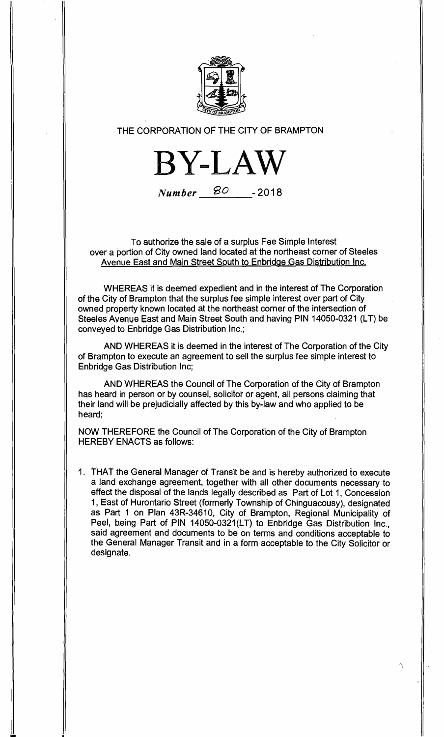

## **THE CORPORATION OF THE CITY OF BRAMPTON**

**BY-LAW** 

**Number go -2018** 

**To authorize the sale of a surplus Fee Simple Interest over a portion of City owned land located at the northeast corner of Steeles Avenue East and Main Street South to Enbridge Gas Distribution Inc.** 

**WHEREAS it is deemed expedient and in the interest of The Corporation of the City of Brampton that the surplus fee simple interest over part of City owned property known located at the northeast corner of the intersection of Steeles Avenue East and Main Street South and having PIN 14050-0321 (LT) be conveyed to Enbridge Gas Distribution Inc.;** 

**AND WHEREAS it is deemed in the interest of The Corporation of the City of Brampton to execute an agreement to sell the surplus fee simple interest to Enbridge Gas Distribution Inc;** 

**AND WHEREAS the Council of The Corporation of the City of Brampton has heard in person or by counsel, solicitor or agent, all persons claiming that their land will be prejudicially affected by this by-law and who applied to be heard;** 

**NOW THEREFORE the Council of The Corporation of the City of Brampton HEREBY ENACTS as follows:** 

**1. THAT the General Manager of Transit be and is hereby authorized to execute a land exchange agreement, together with all other documents necessary to effect the disposal of the lands legally described as Part of Lot 1, Concession 1, East of Hurontario Street (formerly Township of Chinguacousy), designated as Part 1 on Plan 43R-34610, City of Brampton, Regional Municipality of Peel, being Part of PIN 14050-0321(LT) to Enbridge Gas Distribution Inc., said agreement and documents to be on terms and conditions acceptable to the General Manager Transit and in a form acceptable to the City Solicitor or designate.**